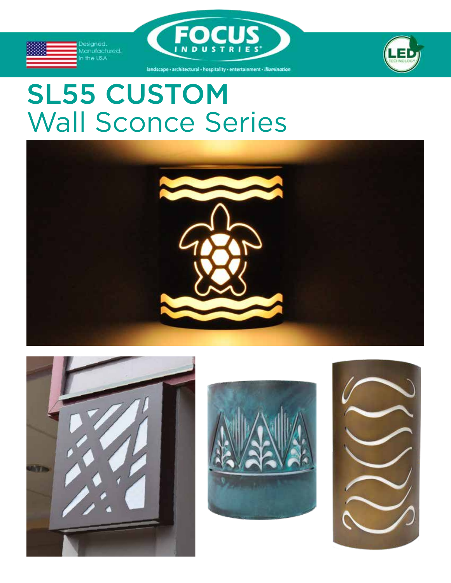



landscape - architectural - hospitality - entertainment - illumination



# **SL55 CUSTOM Wall Sconce Series**







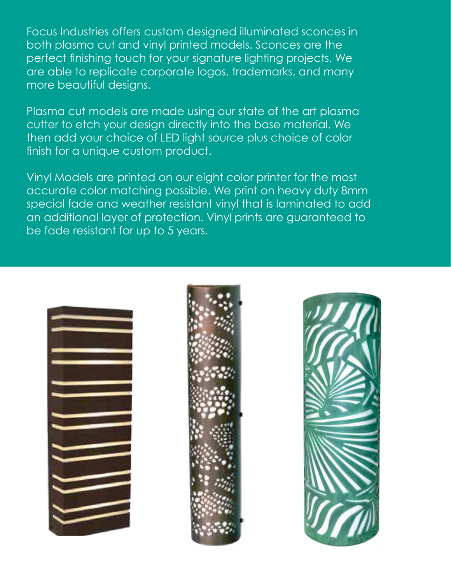Focus Industries offers custom designed illuminated sconces in both plasma cut and vinyl printed models. Sconces are the perfect finishing touch for your signature lighting projects. We are able to replicate corporate logos, trademarks, and many more beautiful designs.

Plasma cut models are made using our state of the art plasma cutter to etch your design directly into the base material. We then add your choice of LED light source plus choice of color finish for a unique custom product.

Vinyl Models are printed on our eight color printer for the most accurate color matching possible. We print on heavy duty 8mm special fade and weather resistant vinyl that is laminated to add an additional layer of protection. Vinyl prints are guaranteed to be fade resistant for up to 5 years.





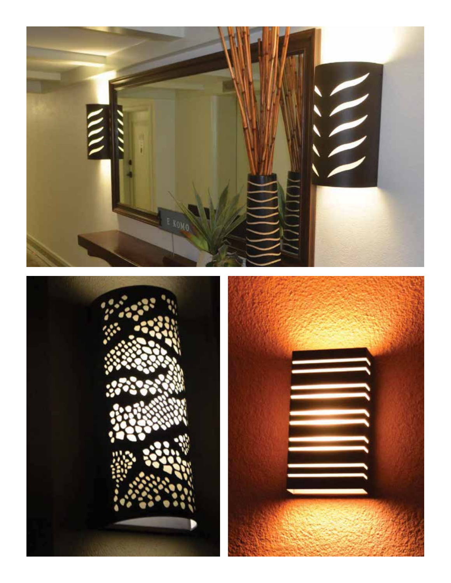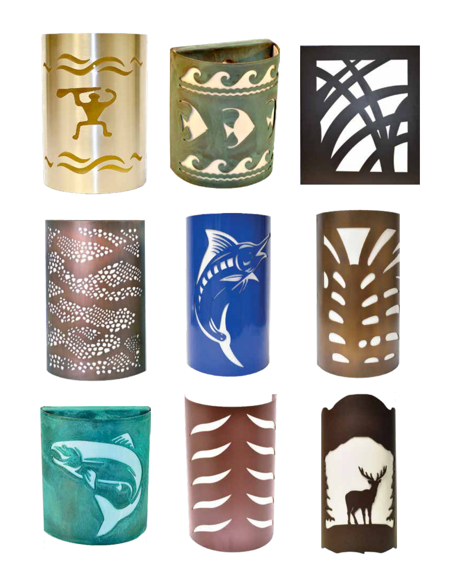













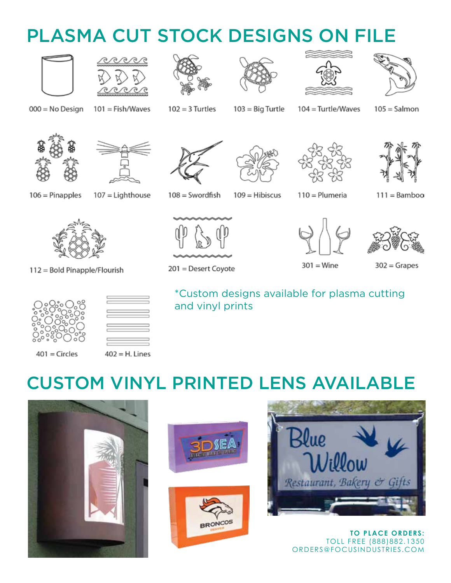### PLASMA CUT STOCK DESIGNS ON FILE













 $000 = No$  Design

 $101 = Fish/Waves$ 

 $102 = 3$  Turtles

 $103 = Big$  Turtle

 $104 = Turtle/Waves$ 

 $105 =$  Salmon



 $106 = Pinapples$ 



 $107 =$ Lighthouse



 $108 =$  Swordfish



 $109$  = Hibiscus



 $110 =$ Plumeria



 $111 =$ Bamboo



112 = Bold Pinapple/Flourish



 $401$  = Circles

 $402 = H$ . Lines

 $201 =$  Desert Coyote



 $302 =$  Grapes

\*Custom designs available for plasma cutting and vinyl prints

### **CUSTOM VINYL PRINTED LENS AVAILABLE**







**TO PLACE ORDERS:** TOLL FREE (888)882.1350 ORDERS@FOCUSINDUSTRIES.COM